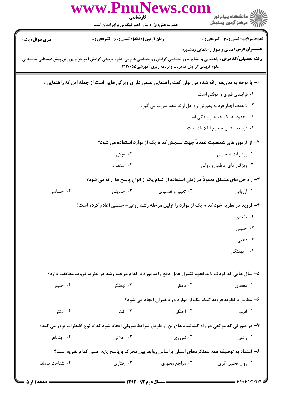|                        | WWW.F<br>كارشناسي<br>حضرت علی(ع): دانش راهبر نیکویی برای ایمان است                                                                                                                            | ڪ دانشڪاه پيا <sub>م</sub> نور<br>۾ سرڪز آزمون وسنجش                   |
|------------------------|-----------------------------------------------------------------------------------------------------------------------------------------------------------------------------------------------|------------------------------------------------------------------------|
| <b>سری سوال :</b> یک ۱ | <b>زمان آزمون (دقیقه) : تستی : 60 ٪ تشریحی : 0</b>                                                                                                                                            | <b>تعداد سوالات : تستی : 30 ٪ تشریحی : 0</b>                           |
|                        | <b>رشته تحصیلی/کد درس: .</b> راهنمایی و مشاوره، روانشناسی گرایش روانشناسی عمومی، علوم تربیتی گرایش آموزش و پرورش پیش دبستانی ودبستانی<br>علوم تربیتی گرایش مدیریت و برنامه ریزی آموزشی1۲۱۷۰۵۵ | <b>عنـــوان درس:</b> مبانی واصول راهنمایی ومشاوره                      |
|                        | ا– با توجه به تعاریف ارائه شده می توان گفت راهنمایی علمی دارای ویژگی هایی است از جمله این که راهنمایی :                                                                                       |                                                                        |
|                        |                                                                                                                                                                                               | ۰۱ فرایندی فوری و موقتی است.                                           |
|                        |                                                                                                                                                                                               | ۲. با هدف اجبار فرد به پذیرش راه حل ارائه شده صورت می گیرد.            |
|                        |                                                                                                                                                                                               | ۰۳ محدود به یک جنبه از زندگی است.                                      |
|                        |                                                                                                                                                                                               | ۰۴ درصدد انتقال صحیح اطلاعات است.                                      |
|                        |                                                                                                                                                                                               | ۲– از آزمون های شخصیت عمدتاً جهت سنجش کدام یک از موارد استفاده می شود؟ |
|                        | ۰۲ هوش                                                                                                                                                                                        | ٠١. پيشرفت تحصيلى                                                      |
|                        | ۰۴ استعداد                                                                                                                                                                                    | ۰۳ ویژگی های عاطفی و روانی                                             |
|                        | ۳- راه حل های مشکل معمولاً در زمان استفاده از کدام یک از انواع پاسخ ها ارائه می شود؟                                                                                                          |                                                                        |
| ۰۴ احساسی              | ۰۳ حمایتی<br>۰۲ تعبیر و تفسیری                                                                                                                                                                | ۰۱ ارزیابی                                                             |
|                        | ۴- فروید در نظریه خود کدام یک از موارد را اولین مرحله رشد روانی- جنسی اعلام کرده است؟                                                                                                         |                                                                        |
|                        |                                                                                                                                                                                               | ۰۱ مقعدی                                                               |
|                        |                                                                                                                                                                                               | ۰۲ احلیلی                                                              |
|                        |                                                                                                                                                                                               | ۰۳ دهانی $\cdot$                                                       |
|                        |                                                                                                                                                                                               | ۰۴ نهفتگ <i>ی</i>                                                      |
|                        |                                                                                                                                                                                               |                                                                        |
|                        | ۵– سال هایی که کودک باید نحوه کنترل عمل دفع را بیاموزد با کدام مرحله رشد در نظریه فروید مطابقت دارد؟                                                                                          |                                                                        |
| ۰۴ احلیلی              | ۰۳ نهفتگی                                                                                                                                                                                     | ۰۲ دهانی<br>۱. مقعدی                                                   |
|                        |                                                                                                                                                                                               | ۶- مطابق با نظریه فروید کدام یک از موارد در دختران ایجاد می شود؟       |
| ۰۴ الكترا              | ۰۳ آلت                                                                                                                                                                                        | ۲. اختگی<br>۰۱ اديپ                                                    |
|                        | ۷- در صورتی که موانعی در راه کشاننده های بن از طریق شرایط بیرونی ایجاد شود کدام نوع اضطراب بروز می کند؟                                                                                       |                                                                        |
| ۰۴ اجتماعی             | ۰۳ اخلاقی                                                                                                                                                                                     | ۰۲ نوروزی<br>۰۱ واقعی                                                  |
|                        | ۸– اعتقاد به توصیف همه عملکردهای انسان براساس روابط بین محرک و پاسخ پایه اصلی کدام نظریه است؟                                                                                                 |                                                                        |
| ۰۴ شناخت درمانی        | ۰۳ رفتاري<br>۰۲ مراجع محوری                                                                                                                                                                   | ۰۱ روان تحلیل گری                                                      |
|                        |                                                                                                                                                                                               |                                                                        |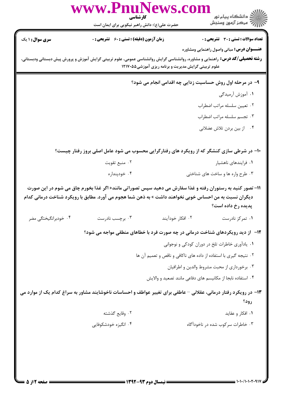|                        | www.PnuNews.co<br>كارشناسي                                                                                                                                                                                                             |                                                      | ِ دانشڪاه پيام نور<br>/√ مرڪز آزمون وسنڊش                        |
|------------------------|----------------------------------------------------------------------------------------------------------------------------------------------------------------------------------------------------------------------------------------|------------------------------------------------------|------------------------------------------------------------------|
| <b>سری سوال : ۱ یک</b> | حضرت علی(ع): دانش راهبر نیکویی برای ایمان است<br><b>زمان آزمون (دقیقه) : تستی : 60 ٪ تشریحی : 0</b>                                                                                                                                    |                                                      | <b>تعداد سوالات : تستی : 30 ٪ تشریحی : 0</b>                     |
|                        | <b>رشته تحصیلی/کد درس:</b> راهنمایی و مشاوره، روانشناسی گرایش روانشناسی عمومی، علوم تربیتی گرایش آموزش و پرورش پیش دبستانی ودبستانی،                                                                                                   | علوم تربیتی گرایش مدیریت و برنامه ریزی آموزشی1۲۱۷۰۵۵ | <b>عنـــوان درس:</b> مبانی واصول راهنمایی ومشاوره                |
|                        |                                                                                                                                                                                                                                        |                                                      | ۹- در مرحله اول روش حساسیت زدایی چه اقدامی انجام می شود؟         |
|                        |                                                                                                                                                                                                                                        |                                                      | ۰۱ آموزش آرمیدگی                                                 |
|                        |                                                                                                                                                                                                                                        |                                                      | ۰۲ تعيين سلسله مراتب اضطراب                                      |
|                        |                                                                                                                                                                                                                                        |                                                      | ۰۳ تجسم سلسله مراتب اضطراب                                       |
|                        |                                                                                                                                                                                                                                        |                                                      | ۰۴ از بین بردن تلاش عضلانی                                       |
|                        | ۱۰- در شرطی سازی کنشگر که از رویکرد های رفتارگرایی محسوب می شود عامل اصلی بروز رفتار چیست؟                                                                                                                                             |                                                      |                                                                  |
|                        | ۰۲ منبع تقويت                                                                                                                                                                                                                          |                                                      | ۰۱ فرایندهای ناهشیار                                             |
|                        | ۰۴ خودپنداره                                                                                                                                                                                                                           |                                                      | ۰۳ طرح واره ها و ساخت های شناختی                                 |
| ۰۴ خودبرانگیختگی مضر   | 11– تصور کنید به رستوران رفته و غذا سفارش می دهید سپس تصوراتی مانند« اگر غذا بخورم چاق می شوم در این صورت<br>دیگران نسبت به من احساس خوبی نخواهند داشت » به ذهن شما هجوم می آورد. مطابق با رویکرد شناخت درمانی کدام<br>۰۳ برچسب نادرست | ۰۲ افکار خودآیند                                     | پدیده رخ داده است؟<br>۰۱ تمرکز نادرست                            |
|                        | <b>۱۲</b> - از دید رویکردهای شناخت درمانی در چه صورت فرد با خطاهای منطقی مواجه می شود؟                                                                                                                                                 |                                                      |                                                                  |
|                        |                                                                                                                                                                                                                                        |                                                      | ۰۱ یادآوری خاطرات تلخ در دوران کودکی و نوجوانی                   |
|                        |                                                                                                                                                                                                                                        |                                                      | ۰۲ نتیجه گیری با استفاده از داده های ناکافی و ناقص و تعمیم آن ها |
|                        |                                                                                                                                                                                                                                        |                                                      | ۰۳ برخورداری از محبت مشروط والدین و اطرافیان                     |
|                        |                                                                                                                                                                                                                                        |                                                      | ۰۴ استفاده نابجا از مكانيسم هاى دفاعى مانند تصعيد و والايش       |
|                        | ۱۳- در رویکرد رفتار درمانی، عقلانی – عاطفی برای تغییر عواطف و احساسات ناخوشایند مشاور به سراغ کدام یک از موارد می                                                                                                                      |                                                      | رود؟                                                             |
|                        | ٠٢ وقايع گذشته                                                                                                                                                                                                                         |                                                      | ۰۱ افکار و عقاید                                                 |
|                        | ۰۴ انگیزه خودشکوفایی                                                                                                                                                                                                                   |                                                      | ۰۳ خاطرات سرکوب شده در ناخودآگاه                                 |
|                        |                                                                                                                                                                                                                                        |                                                      |                                                                  |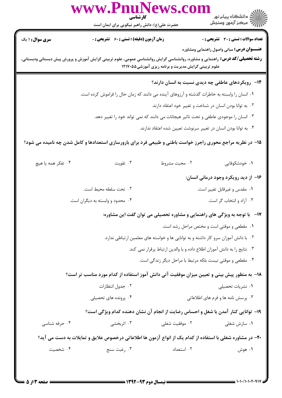| www.PnuNews.com<br>كارشناسي |                                                                                                                                      |                                                      |                                                                                      |
|-----------------------------|--------------------------------------------------------------------------------------------------------------------------------------|------------------------------------------------------|--------------------------------------------------------------------------------------|
|                             | حضرت علی(ع): دانش راهبر نیکویی برای ایمان است                                                                                        |                                                      | ∭د انشگاه پيام نور<br>∭مرکز آزمون وسنجش                                              |
| <b>سری سوال : ۱ یک</b>      | زمان آزمون (دقیقه) : تستی : 60 ٪ تشریحی : 0                                                                                          |                                                      | <b>تعداد سوالات : تستی : 30 ٪ تشریحی : 0</b>                                         |
|                             |                                                                                                                                      |                                                      | <b>عنـــوان درس:</b> مبانی واصول راهنمایی ومشاوره                                    |
|                             | <b>رشته تحصیلی/کد درس:</b> راهنمایی و مشاوره، روانشناسی گرایش روانشناسی عمومی، علوم تربیتی گرایش آموزش و پرورش پیش دبستانی ودبستانی، | علوم تربیتی گرایش مدیریت و برنامه ریزی آموزشی۱۲۱۷۰۵۵ |                                                                                      |
|                             |                                                                                                                                      |                                                      | ۱۴- رویکردهای عاطفی چه دیدی نسبت به انسان دارند؟                                     |
|                             | ۰۱ انسان را وابسته به خاطرات گذشته و آرزوهای آینده می دانند که زمان حال را فراموش کرده است.                                          |                                                      |                                                                                      |
|                             |                                                                                                                                      |                                                      | ۰۲ به توانا بودن انسان در شناخت و تغییر خود اعتقاد دارند.                            |
|                             |                                                                                                                                      |                                                      | ۰۳ انسان را موجودی عاطفی و تحت تاثیر هیجانات می دانند که نمی تواند خود را تغییر دهد. |
|                             |                                                                                                                                      |                                                      | ۰۴ به توانا بودن انسان در تغییر سرنوشت تعیین شده اعتقاد ندارند.                      |
|                             | ۱۵– در نظریه مراجع محوری راجرز خواست باطنی و طبیعی فرد برای بارورسازی استعدادها و کامل شدن چه نامیده می شود؟                         |                                                      |                                                                                      |
| ۰۴ تفکر همه یا هیچ          | ۰۳ تقویت                                                                                                                             | ۰۲ محبت مشروط                                        | ۰۱ خودشکوفایی                                                                        |
|                             |                                                                                                                                      |                                                      | ۱۶– از دید رویکرد وجود درمانی انسان:                                                 |
|                             | ۰۲ تحت سلطه محیط است.                                                                                                                |                                                      | ۰۱ مقدس و غیرقابل تغییر است.                                                         |
|                             | ۰۴ محدود و وابسته به دیگران است.                                                                                                     |                                                      | ۰۳ آزاد و انتخاب گر است.                                                             |
|                             |                                                                                                                                      |                                                      | <b>۱۷</b> - با توجه به ویژگی های راهنمایی و مشاوره تحصیلی می توان گفت این مشاوره:    |
|                             |                                                                                                                                      |                                                      | ۰۱ مقطعی و موقتی است و مختص مراحل رشد است.                                           |
|                             |                                                                                                                                      |                                                      | ۰۲ با دانش آموزان سرو کار داشته و به توانایی ها و خواسته های معلمین ارتباطی ندارد.   |
|                             |                                                                                                                                      |                                                      | ۰۳ نتایج را به دانش آموزان اطلاع داده و با والدین ارتباط برقرار نمی کند.             |
|                             |                                                                                                                                      |                                                      | ۰۴ مقطعی و موقتی نیست بلکه مرتبط با مراحل دیگر زندگی است.                            |
|                             | ۱۸− به منظور پیش بینی و تعیین میزان موفقیت آتی دانش آموز استفاده از کدام مورد مناسب تر است؟                                          |                                                      |                                                                                      |
|                             | ۰۲ جدول انتظارات                                                                                                                     |                                                      | ۰۱ نشریات تحصیلی                                                                     |
|                             | ۰۴ پرونده های تحصیلی                                                                                                                 |                                                      | ۰۳ پرسش نامه ها و فرم های اطلاعاتی                                                   |
|                             | ۱۹- توانایی کنار آمدن با شغل و احساس رضایت از انجام آن نشان دهنده کدام ویژگی است؟                                                    |                                                      |                                                                                      |
| ۰۴ حرفه شناسی               | ۰۳ اثربخشی                                                                                                                           | ۰۲ موفقیت شغلی                                       | ۰۱ سازش شغلی                                                                         |
|                             | ۲۰– در مشاوره شغلی با استفاده از کدام یک از انواع آزمون ها اطلاعاتی درخصوص علایق و تمایلات به دست می آید؟                            |                                                      |                                                                                      |
| ۰۴ شخصیت                    | ۰۳ رغبت سنج                                                                                                                          | ۰۲ استعداد                                           | ۰۱ هوش                                                                               |
|                             |                                                                                                                                      |                                                      |                                                                                      |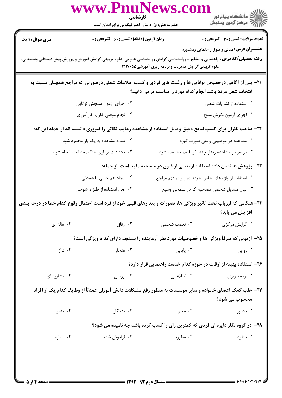|                                      | حضرت علی(ع): دانش راهبر نیکویی برای ایمان است                                                    | كارشناسي                                                                                                                                                                                     | الاد دانشڪاه پيام نور<br>الاس مرڪز آزمون وسنڊش    |
|--------------------------------------|--------------------------------------------------------------------------------------------------|----------------------------------------------------------------------------------------------------------------------------------------------------------------------------------------------|---------------------------------------------------|
| <b>سری سوال :</b> ۱ یک               | <b>زمان آزمون (دقیقه) : تستی : 60 گشریحی : 0</b>                                                 |                                                                                                                                                                                              | <b>تعداد سوالات : تستی : 30 ٪ تشریحی : 0</b>      |
|                                      |                                                                                                  | <b>رشته تحصیلی/کد درس:</b> راهنمایی و مشاوره، روانشناسی گرایش روانشناسی عمومی، علوم تربیتی گرایش آموزش و پرورش پیش دبستانی ودبستانی،<br>علوم تربیتی گرایش مدیریت و برنامه ریزی آموزشی1۲۱۷۰۵۵ | <b>عنـــوان درس:</b> مبانی واصول راهنمایی ومشاوره |
|                                      |                                                                                                  | <b>۲۱</b> - پس از آگاهی درخصوص توانایی ها و رغبت های فردی و کسب اطلاعات شغلی درصورتی که مراجع همچنان نسبت به<br>انتخاب شغل مردد باشد انجام کدام مورد را مناسب تر می دانید؟                   |                                                   |
|                                      | ۰۲ اجرای آزمون سنجش توانایی                                                                      |                                                                                                                                                                                              | ۰۱ استفاده از نشریات شغلی                         |
|                                      | ۰۴ انجام موقتی کار یا کارآموزی                                                                   |                                                                                                                                                                                              | ۰۳ اجرای آزمون نگرش سنج                           |
|                                      |                                                                                                  | ۲۲- صاحب نظران برای کسب نتایج دقیق و قابل استفاده از مشاهده رعایت نکاتی را ضروری دانسته اند از جمله این که:                                                                                  |                                                   |
| ۰۲ تعداد مشاهده به یک بار محدود شود. |                                                                                                  |                                                                                                                                                                                              | ۰۱ مشاهده در موقعیتی واقعی صورت گیرد.             |
|                                      | ۰۳ در هر بار مشاهده رفتار چند نفر با هم مشاهده شود.<br>۰۴ یادداشت برداری هنگام مشاهده انجام شود. |                                                                                                                                                                                              |                                                   |
|                                      |                                                                                                  | ۲۳- پژوهش ها نشان داده استفاده از بعضی از فنون در مصاحبه مفید است. از جمله:                                                                                                                  |                                                   |
|                                      | ۰۲ ایجاد هم حسی یا همدلی                                                                         | ۰۱ استفاده از واژه های خاص حرفه ای و رای فهم مراجع                                                                                                                                           |                                                   |
|                                      | ۰۴ عدم استفاده از طنز و شوخی                                                                     | ۰۳ بیان مسایل شخصی مصاحبه گر در سطحی وسیع                                                                                                                                                    |                                                   |
|                                      |                                                                                                  | ۲۴– هنگامی که ارزیاب تحت تاثیر ویژگی ها، تصورات و پندارهای قبلی خود از فرد است احتمال وقوع کدام خطا در درجه بندی                                                                             | افزایش می یابد؟                                   |
| ۰۴ هاله ای                           | ۰۳ ارفاق                                                                                         | ۰۲ تعصب شخصی                                                                                                                                                                                 | ۰۱ گرايش مركزي                                    |
|                                      |                                                                                                  | ۲۵- آزمونی که صرفاً ویژگی ها و خصوصیات مورد نظر آزماینده را بسنجد دارای کدام ویژگی است؟                                                                                                      |                                                   |
| ۰۴ تراز                              | ۰۳ هنجار                                                                                         | ۰۲ پایایی                                                                                                                                                                                    | ۰۱ روایی                                          |
|                                      |                                                                                                  | ۲۶– استفاده بهینه از اوقات در حوزه کدام خدمت راهنمایی قرار دارد؟                                                                                                                             |                                                   |
| ۰۴ مشاوره ای                         | ۰۳ ارزیابی                                                                                       | ۰۲ اطلاعاتی                                                                                                                                                                                  | ۰۱ برنامه ریزی                                    |
|                                      |                                                                                                  | ۲۷– جلب کمک اعضای خانواده و سایر موسسات به منظور رفع مشکلات دانش آموزان عمدتاً از وظایف کدام یک از افراد                                                                                     |                                                   |
|                                      |                                                                                                  |                                                                                                                                                                                              | محسوب مي شود؟                                     |
| ۰۴ مدير                              | ۰۳ مددکار                                                                                        | ۰۲ معلم                                                                                                                                                                                      | ۰۱ مشاور                                          |
|                                      |                                                                                                  | <b>۲۸</b> - در گروه نگار دایره ای فردی که کمترین رای را کسب کرده باشد چه نامیده می شود؟                                                                                                      |                                                   |
|                                      |                                                                                                  | ۰۲ مطرود                                                                                                                                                                                     |                                                   |